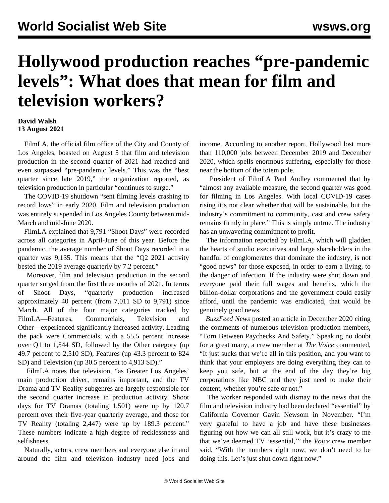## **Hollywood production reaches "pre-pandemic levels": What does that mean for film and television workers?**

## **David Walsh 13 August 2021**

 FilmLA, the official film office of the City and County of Los Angeles, boasted on August 5 that film and television production in the second quarter of 2021 had reached and even surpassed "pre-pandemic levels." This was the "best quarter since late 2019," the organization reported, as television production in particular "continues to surge."

 The COVID-19 shutdown "sent filming levels crashing to record lows" in early 2020. Film and television production was entirely suspended in Los Angeles County between mid-March and mid-June 2020.

 FilmLA explained that 9,791 "Shoot Days" were recorded across all categories in April-June of this year. Before the pandemic, the average number of Shoot Days recorded in a quarter was 9,135. This means that the "Q2 2021 activity bested the 2019 average quarterly by 7.2 percent."

 Moreover, film and television production in the second quarter surged from the first three months of 2021. In terms of Shoot Days, "quarterly production increased approximately 40 percent (from 7,011 SD to 9,791) since March. All of the four major categories tracked by FilmLA—Features, Commercials, Television and Other—experienced significantly increased activity. Leading the pack were Commercials, with a 55.5 percent increase over Q1 to 1,544 SD, followed by the Other category (up 49.7 percent to 2,510 SD), Features (up 43.3 percent to 824 SD) and Television (up 30.5 percent to 4,913 SD)."

 FilmLA notes that television, "as Greater Los Angeles' main production driver, remains important, and the TV Drama and TV Reality subgenres are largely responsible for the second quarter increase in production activity. Shoot days for TV Dramas (totaling 1,501) were up by 120.7 percent over their five-year quarterly average, and those for TV Reality (totaling 2,447) were up by 189.3 percent." These numbers indicate a high degree of recklessness and selfishness.

 Naturally, actors, crew members and everyone else in and around the film and television industry need jobs and income. According to another report, Hollywood lost more than 110,000 jobs between December 2019 and December 2020, which spells enormous suffering, especially for those near the bottom of the totem pole.

 President of FilmLA Paul Audley commented that by "almost any available measure, the second quarter was good for filming in Los Angeles. With local COVID-19 cases rising it's not clear whether that will be sustainable, but the industry's commitment to community, cast and crew safety remains firmly in place." This is simply untrue. The industry has an unwavering commitment to profit.

 The information reported by FilmLA, which will gladden the hearts of studio executives and large shareholders in the handful of conglomerates that dominate the industry, is not "good news" for those exposed, in order to earn a living, to the danger of infection. If the industry were shut down and everyone paid their full wages and benefits, which the billion-dollar corporations and the government could easily afford, until the pandemic was eradicated, that would be genuinely good news.

 *BuzzFeed News* posted an article in December 2020 citing the comments of numerous television production members, "Torn Between Paychecks And Safety." Speaking no doubt for a great many, a crew member at *The Voice* commented, "It just sucks that we're all in this position, and you want to think that your employers are doing everything they can to keep you safe, but at the end of the day they're big corporations like NBC and they just need to make their content, whether you're safe or not."

 The worker responded with dismay to the news that the film and television industry had been declared "essential" by California Governor Gavin Newsom in November. "I'm very grateful to have a job and have these businesses figuring out how we can all still work, but it's crazy to me that we've deemed TV 'essential,'" the *Voice* crew member said. "With the numbers right now, we don't need to be doing this. Let's just shut down right now."